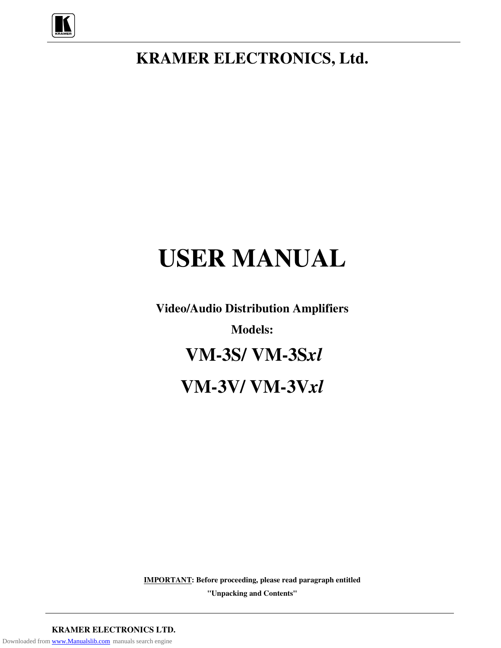

# **KRAMER ELECTRONICS, Ltd.**

# **USER MANUAL**

**Video/Audio Distribution Amplifiers Models: VM-3S/ VM-3S***xl* **VM-3V/ VM-3V***xl*

**IMPORTANT: Before proceeding, please read paragraph entitled**

**"Unpacking and Contents"**

**KRAMER ELECTRONICS LTD.** Downloaded from [www.Manualslib.com](http://www.manualslib.com/) manuals search engine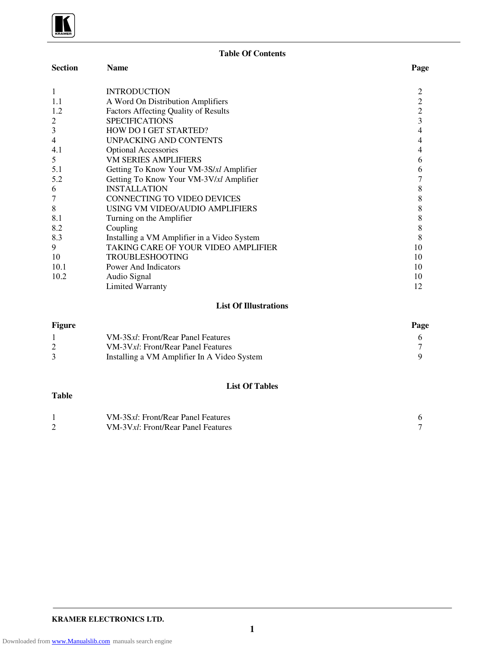**Table Of Contents**

| <b>Section</b> | <b>Name</b>                                 | Page           |
|----------------|---------------------------------------------|----------------|
| 1              | <b>INTRODUCTION</b>                         |                |
| 1.1            | A Word On Distribution Amplifiers           | 2              |
| 1.2            | <b>Factors Affecting Quality of Results</b> | $\overline{c}$ |
| 2              | <b>SPECIFICATIONS</b>                       | 3              |
| 3              | <b>HOW DO I GET STARTED?</b>                | 4              |
| 4              | <b>UNPACKING AND CONTENTS</b>               | 4              |
| 4.1            | <b>Optional Accessories</b>                 |                |
| 5              | <b>VM SERIES AMPLIFIERS</b>                 | 6              |
| 5.1            | Getting To Know Your VM-3S/xl Amplifier     | 6              |
| 5.2            | Getting To Know Your VM-3V/xl Amplifier     |                |
| 6              | <b>INSTALLATION</b>                         | 8              |
|                | <b>CONNECTING TO VIDEO DEVICES</b>          | 8              |
| 8              | USING VM VIDEO/AUDIO AMPLIFIERS             | 8              |
| 8.1            | Turning on the Amplifier                    | 8              |
| 8.2            | Coupling                                    | 8              |
| 8.3            | Installing a VM Amplifier in a Video System | 8              |
| 9              | TAKING CARE OF YOUR VIDEO AMPLIFIER         | 10             |
| 10             | <b>TROUBLESHOOTING</b>                      | 10             |
| 10.1           | <b>Power And Indicators</b>                 | 10             |
| 10.2           | Audio Signal                                | 10             |
|                | <b>Limited Warranty</b>                     | 12             |

#### **List Of Illustrations**

| <b>Figure</b> |                                             | Page |
|---------------|---------------------------------------------|------|
|               | VM-3Sxl: Front/Rear Panel Features          |      |
|               | VM-3Vxl: Front/Rear Panel Features          |      |
|               | Installing a VM Amplifier In A Video System |      |

#### **Table**

# **List Of Tables**

| VM-3Sxl: Front/Rear Panel Features |  |
|------------------------------------|--|
| VM-3Vxl: Front/Rear Panel Features |  |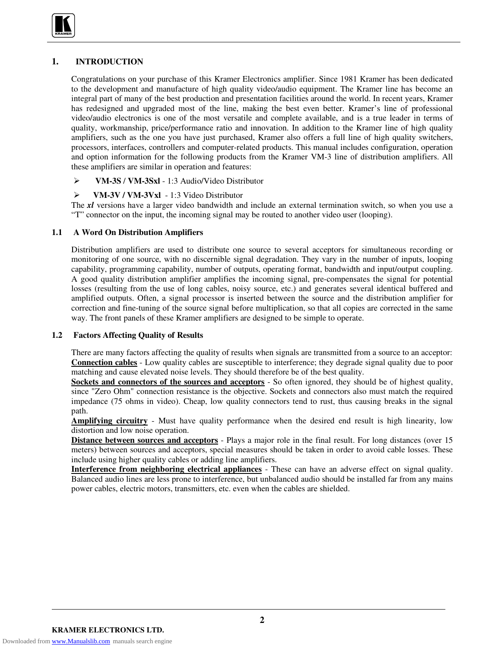

# **1. INTRODUCTION**

Congratulations on your purchase of this Kramer Electronics amplifier. Since 1981 Kramer has been dedicated to the development and manufacture of high quality video/audio equipment. The Kramer line has become an integral part of many of the best production and presentation facilities around the world. In recent years, Kramer has redesigned and upgraded most of the line, making the best even better. Kramer's line of professional video/audio electronics is one of the most versatile and complete available, and is a true leader in terms of quality, workmanship, price/performance ratio and innovation. In addition to the Kramer line of high quality amplifiers, such as the one you have just purchased, Kramer also offers a full line of high quality switchers, processors, interfaces, controllers and computer-related products. This manual includes configuration, operation and option information for the following products from the Kramer VM-3 line of distribution amplifiers. All these amplifiers are similar in operation and features:

#### **VM-3S** / **VM-3Sxl** - 1:3 Audio/Video Distributor

#### **VM-3V / VM-3Vxl** - 1:3 Video Distributor

The *xl* versions have a larger video bandwidth and include an external termination switch, so when you use a "T" connector on the input, the incoming signal may be routed to another video user (looping).

#### **1.1 A Word On Distribution Amplifiers**

Distribution amplifiers are used to distribute one source to several acceptors for simultaneous recording or monitoring of one source, with no discernible signal degradation. They vary in the number of inputs, looping capability, programming capability, number of outputs, operating format, bandwidth and input/output coupling. A good quality distribution amplifier amplifies the incoming signal, pre-compensates the signal for potential losses (resulting from the use of long cables, noisy source, etc.) and generates several identical buffered and amplified outputs. Often, a signal processor is inserted between the source and the distribution amplifier for correction and fine-tuning of the source signal before multiplication, so that all copies are corrected in the same way. The front panels of these Kramer amplifiers are designed to be simple to operate.

#### **1.2 Factors Affecting Quality of Results**

There are many factors affecting the quality of results when signals are transmitted from a source to an acceptor: **Connection cables** - Low quality cables are susceptible to interference; they degrade signal quality due to poor matching and cause elevated noise levels. They should therefore be of the best quality.

**Sockets and connectors of the sources and acceptors** - So often ignored, they should be of highest quality, since "Zero Ohm" connection resistance is the objective. Sockets and connectors also must match the required impedance (75 ohms in video). Cheap, low quality connectors tend to rust, thus causing breaks in the signal path.

**Amplifying circuitry** - Must have quality performance when the desired end result is high linearity, low distortion and low noise operation.

**Distance between sources and acceptors** - Plays a major role in the final result. For long distances (over 15 meters) between sources and acceptors, special measures should be taken in order to avoid cable losses. These include using higher quality cables or adding line amplifiers.

**Interference from neighboring electrical appliances** - These can have an adverse effect on signal quality. Balanced audio lines are less prone to interference, but unbalanced audio should be installed far from any mains power cables, electric motors, transmitters, etc. even when the cables are shielded.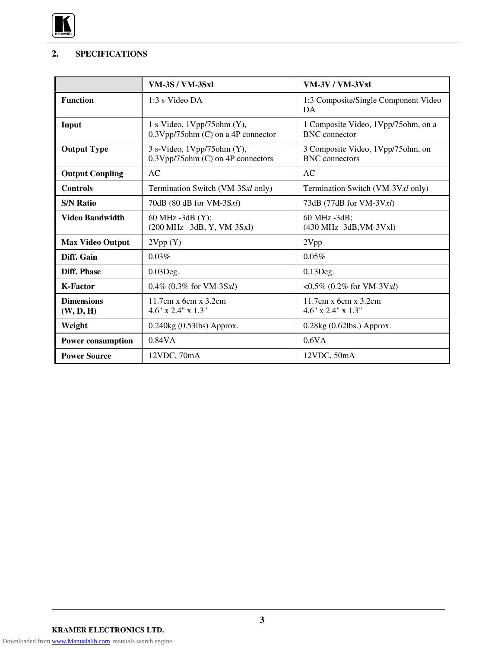

# **2. SPECIFICATIONS**

|                                | <b>VM-3S / VM-3Sxl</b>                                                | <b>VM-3V / VM-3Vxl</b>                                       |
|--------------------------------|-----------------------------------------------------------------------|--------------------------------------------------------------|
| <b>Function</b>                | $1:3$ s-Video DA                                                      | 1:3 Composite/Single Component Video<br>DA                   |
| Input                          | 1 s-Video, $1Vpp/75ohm(Y)$ ,<br>$0.3Vpp/75$ ohm (C) on a 4P connector | 1 Composite Video, 1Vpp/75ohm, on a<br><b>BNC</b> connector  |
| <b>Output Type</b>             | 3 s-Video, 1Vpp/75ohm (Y),<br>$0.3Vpp/75ohm (C)$ on 4P connectors     | 3 Composite Video, 1 Vpp/75 ohm, on<br><b>BNC</b> connectors |
| <b>Output Coupling</b>         | AC                                                                    | AC                                                           |
| <b>Controls</b>                | Termination Switch (VM-3Sxl only)                                     | Termination Switch (VM-3Vxl only)                            |
| <b>S/N Ratio</b>               | 70dB (80 dB for VM-3Sxl)                                              | 73dB (77dB for VM-3Vxl)                                      |
| <b>Video Bandwidth</b>         | 60 MHz -3dB (Y);<br>(200 MHz -3dB, Y, VM-3Sxl)                        | 60 MHz -3dB;<br>(430 MHz -3dB, VM-3Vxl)                      |
| <b>Max Video Output</b>        | 2Vpp(Y)                                                               | 2Vpp                                                         |
| Diff. Gain                     | 0.03%                                                                 | 0.05%                                                        |
| Diff. Phase                    | $0.03$ Deg.                                                           | $0.13$ Deg.                                                  |
| <b>K-Factor</b>                | $0.4\%$ (0.3% for VM-3Sxl)                                            | $\langle 0.5\% (0.2\% \text{ for VM-3V}x] \rangle$           |
| <b>Dimensions</b><br>(W, D, H) | $11.7cm \times 6cm \times 3.2cm$<br>$4.6"$ x 2.4" x 1.3"              | $11.7cm \times 6cm \times 3.2cm$<br>$4.6"$ x $2.4"$ x $1.3"$ |
| Weight                         | 0.240kg (0.53lbs) Approx.                                             | $0.28$ kg $(0.62$ lbs.) Approx.                              |
| <b>Power consumption</b>       | 0.84VA                                                                | 0.6VA                                                        |
| <b>Power Source</b>            | 12VDC, 70mA                                                           | 12VDC, 50mA                                                  |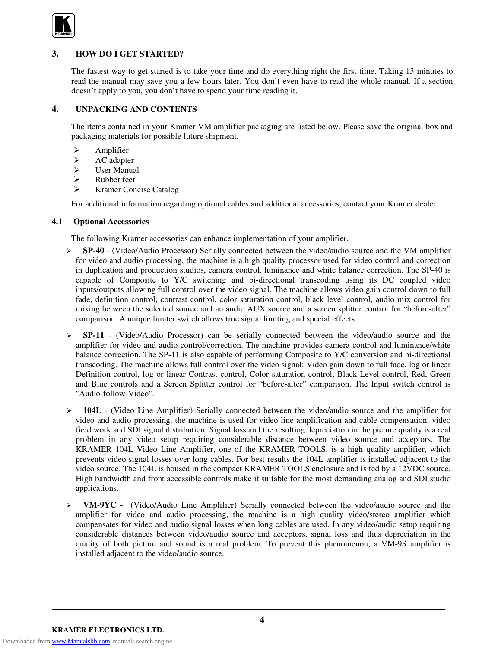

# **3. HOW DO I GET STARTED?**

The fastest way to get started is to take your time and do everything right the first time. Taking 15 minutes to read the manual may save you a few hours later. You don't even have to read the whole manual. If a section doesn't apply to you, you don't have to spend your time reading it.

#### **4. UNPACKING AND CONTENTS**

The items contained in your Kramer VM amplifier packaging are listed below. Please save the original box and packaging materials for possible future shipment.

- $\triangleright$  Amplifier
- $\triangleright$  AC adapter
- > User Manual
- $\triangleright$  Rubber feet
- Kramer Concise Catalog

For additional information regarding optional cables and additional accessories, contact your Kramer dealer.

#### **4.1 Optional Accessories**

The following Kramer accessories can enhance implementation of your amplifier.

- **SP-40** (Video/Audio Processor) Serially connected between the video/audio source and the VM amplifier for video and audio processing, the machine is a high quality processor used for video control and correction in duplication and production studios, camera control, luminance and white balance correction. The SP-40 is capable of Composite to Y/C switching and bi-directional transcoding using its DC coupled video inputs/outputs allowing full control over the video signal. The machine allows video gain control down to full fade, definition control, contrast control, color saturation control, black level control, audio mix control for mixing between the selected source and an audio AUX source and a screen splitter control for "before-after" comparison. A unique limiter switch allows true signal limiting and special effects.
- **SP-11** (Video/Audio Processor) can be serially connected between the video/audio source and the amplifier for video and audio control/correction. The machine provides camera control and luminance/white balance correction. The SP-11 is also capable of performing Composite to Y/C conversion and bi-directional transcoding. The machine allows full control over the video signal: Video gain down to full fade, log or linear Definition control, log or linear Contrast control, Color saturation control, Black Level control, Red, Green and Blue controls and a Screen Splitter control for "before-after" comparison. The Input switch control is "Audio-follow-Video".
- $\geq$  **104L** (Video Line Amplifier) Serially connected between the video/audio source and the amplifier for video and audio processing, the machine is used for video line amplification and cable compensation, video field work and SDI signal distribution. Signal loss and the resulting depreciation in the picture quality is a real problem in any video setup requiring considerable distance between video source and acceptors. The KRAMER 104L Video Line Amplifier, one of the KRAMER TOOLS, is a high quality amplifier, which prevents video signal losses over long cables. For best results the 104L amplifier is installed adjacent to the video source. The 104L is housed in the compact KRAMER TOOLS enclosure and is fed by a 12VDC source. High bandwidth and front accessible controls make it suitable for the most demanding analog and SDI studio applications.
- **VM-9YC -** (Video/Audio Line Amplifier) Serially connected between the video/audio source and the amplifier for video and audio processing, the machine is a high quality video/stereo amplifier which compensates for video and audio signal losses when long cables are used. In any video/audio setup requiring considerable distances between video/audio source and acceptors, signal loss and thus depreciation in the quality of both picture and sound is a real problem. To prevent this phenomenon, a VM-9S amplifier is installed adjacent to the video/audio source.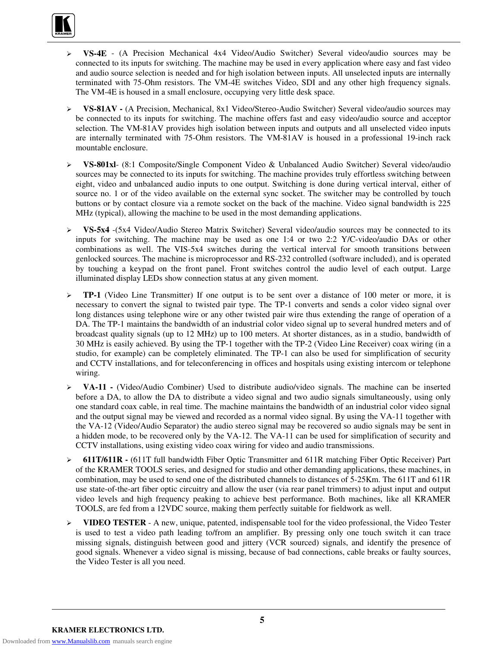

- **VS-4E** (A Precision Mechanical 4x4 Video/Audio Switcher) Several video/audio sources may be connected to its inputs for switching. The machine may be used in every application where easy and fast video and audio source selection is needed and for high isolation between inputs. All unselected inputs are internally terminated with 75-Ohm resistors. The VM-4E switches Video, SDI and any other high frequency signals. The VM-4E is housed in a small enclosure, occupying very little desk space.
- **VS-81AV -** (A Precision, Mechanical, 8x1 Video/Stereo-Audio Switcher) Several video/audio sources may be connected to its inputs for switching. The machine offers fast and easy video/audio source and acceptor selection. The VM-81AV provides high isolation between inputs and outputs and all unselected video inputs are internally terminated with 75-Ohm resistors. The VM-81AV is housed in a professional 19-inch rack mountable enclosure.
- **VS-801xl** (8:1 Composite/Single Component Video & Unbalanced Audio Switcher) Several video/audio sources may be connected to its inputs for switching. The machine provides truly effortless switching between eight, video and unbalanced audio inputs to one output. Switching is done during vertical interval, either of source no. 1 or of the video available on the external sync socket. The switcher may be controlled by touch buttons or by contact closure via a remote socket on the back of the machine. Video signal bandwidth is 225 MHz (typical), allowing the machine to be used in the most demanding applications.
- **VS-5x4** -(5x4 Video/Audio Stereo Matrix Switcher) Several video/audio sources may be connected to its inputs for switching. The machine may be used as one 1:4 or two 2:2 Y/C-video/audio DAs or other combinations as well. The VIS-5x4 switches during the vertical interval for smooth transitions between genlocked sources. The machine is microprocessor and RS-232 controlled (software included), and is operated by touching a keypad on the front panel. Front switches control the audio level of each output. Large illuminated display LEDs show connection status at any given moment.
- $\triangleright$  **TP-1** (Video Line Transmitter) If one output is to be sent over a distance of 100 meter or more, it is necessary to convert the signal to twisted pair type. The TP-1 converts and sends a color video signal over long distances using telephone wire or any other twisted pair wire thus extending the range of operation of a DA. The TP-1 maintains the bandwidth of an industrial color video signal up to several hundred meters and of broadcast quality signals (up to 12 MHz) up to 100 meters. At shorter distances, as in a studio, bandwidth of 30 MHz is easily achieved. By using the TP-1 together with the TP-2 (Video Line Receiver) coax wiring (in a studio, for example) can be completely eliminated. The TP-1 can also be used for simplification of security and CCTV installations, and for teleconferencing in offices and hospitals using existing intercom or telephone wiring.
- **VA-11 -** (Video/Audio Combiner) Used to distribute audio/video signals. The machine can be inserted before a DA, to allow the DA to distribute a video signal and two audio signals simultaneously, using only one standard coax cable, in real time. The machine maintains the bandwidth of an industrial color video signal and the output signal may be viewed and recorded as a normal video signal. By using the VA-11 together with the VA-12 (Video/Audio Separator) the audio stereo signal may be recovered so audio signals may be sent in a hidden mode, to be recovered only by the VA-12. The VA-11 can be used for simplification of security and CCTV installations, using existing video coax wiring for video and audio transmissions.
- **611T/611R -** (611T full bandwidth Fiber Optic Transmitter and 611R matching Fiber Optic Receiver) Part of the KRAMER TOOLS series, and designed for studio and other demanding applications, these machines, in combination, may be used to send one of the distributed channels to distances of 5-25Km. The 611T and 611R use state-of-the-art fiber optic circuitry and allow the user (via rear panel trimmers) to adjust input and output video levels and high frequency peaking to achieve best performance. Both machines, like all KRAMER TOOLS, are fed from a 12VDC source, making them perfectly suitable for fieldwork as well.
- **VIDEO TESTER** A new, unique, patented, indispensable tool for the video professional, the Video Tester is used to test a video path leading to/from an amplifier. By pressing only one touch switch it can trace missing signals, distinguish between good and jittery (VCR sourced) signals, and identify the presence of good signals. Whenever a video signal is missing, because of bad connections, cable breaks or faulty sources, the Video Tester is all you need.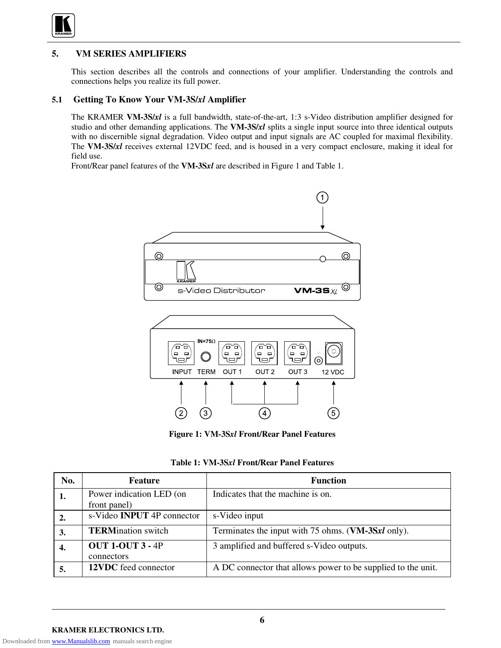

# **5. VM SERIES AMPLIFIERS**

This section describes all the controls and connections of your amplifier. Understanding the controls and connections helps you realize its full power.

#### **5.1 Getting To Know Your VM-3S/***xl* **Amplifier**

The KRAMER **VM-3S/***xl* is a full bandwidth, state-of-the-art, 1:3 s-Video distribution amplifier designed for studio and other demanding applications. The **VM-3S/***xl* splits a single input source into three identical outputs with no discernible signal degradation. Video output and input signals are AC coupled for maximal flexibility. The **VM-3S/***xl* receives external 12VDC feed, and is housed in a very compact enclosure, making it ideal for field use.

Front/Rear panel features of the **VM-3S***xl* are described in Figure 1 and Table 1.



**Figure 1: VM-3S***xl* **Front/Rear Panel Features**

|  |  | Table 1: VM-3Sxl Front/Rear Panel Features |  |  |
|--|--|--------------------------------------------|--|--|
|--|--|--------------------------------------------|--|--|

| No. | <b>Feature</b>                           | <b>Function</b>                                              |
|-----|------------------------------------------|--------------------------------------------------------------|
|     | Power indication LED (on<br>front panel) | Indicates that the machine is on.                            |
|     | s-Video <b>INPUT</b> 4P connector        | s-Video input                                                |
|     | <b>TERMination</b> switch                | Terminates the input with 75 ohms. (VM-3Sxl only).           |
| 4.  | <b>OUT 1-OUT 3 - 4P</b><br>connectors    | 3 amplified and buffered s-Video outputs.                    |
| 5.  | 12VDC feed connector                     | A DC connector that allows power to be supplied to the unit. |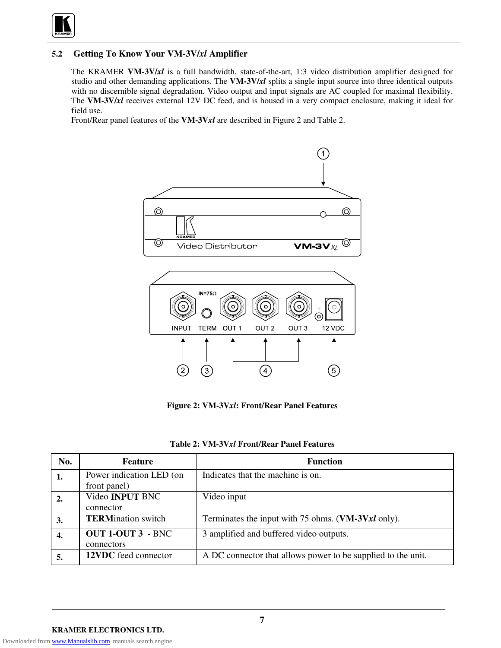

# **5.2 Getting To Know Your VM-3V/***xl* **Amplifier**

The KRAMER **VM-3V/***xl* is a full bandwidth, state-of-the-art, 1:3 video distribution amplifier designed for studio and other demanding applications. The **VM-3V/***xl* splits a single input source into three identical outputs with no discernible signal degradation. Video output and input signals are AC coupled for maximal flexibility. The **VM-3V/***xl* receives external 12V DC feed, and is housed in a very compact enclosure, making it ideal for field use.

Front/Rear panel features of the **VM-3V***xl* are described in Figure 2 and Table 2.



**Figure 2: VM-3V***xl***: Front/Rear Panel Features**

|  |  |  | Table 2: VM-3Vxl Front/Rear Panel Features |
|--|--|--|--------------------------------------------|
|--|--|--|--------------------------------------------|

| No. | <b>Feature</b>            | <b>Function</b>                                              |
|-----|---------------------------|--------------------------------------------------------------|
| 1.  | Power indication LED (on  | Indicates that the machine is on.                            |
|     | front panel)              |                                                              |
|     | Video <b>INPUT</b> BNC    | Video input                                                  |
|     | connector                 |                                                              |
| 3.  | <b>TERMination</b> switch | Terminates the input with 75 ohms. (VM-3Vxl only).           |
| 4.  | <b>OUT 1-OUT 3 - BNC</b>  | 3 amplified and buffered video outputs.                      |
|     | connectors                |                                                              |
| 5.  | 12VDC feed connector      | A DC connector that allows power to be supplied to the unit. |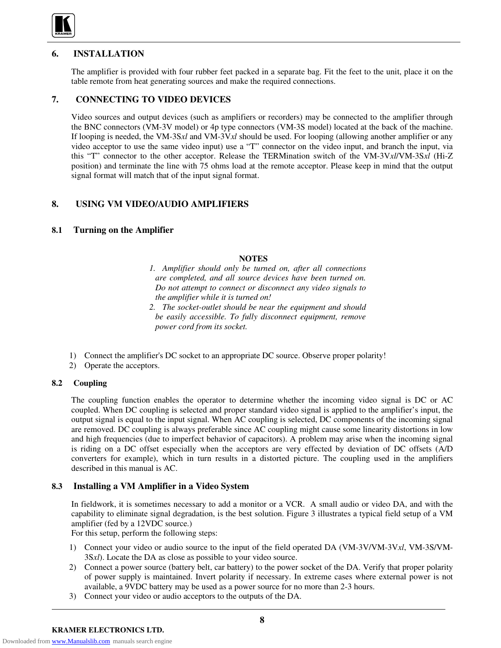

# **6. INSTALLATION**

The amplifier is provided with four rubber feet packed in a separate bag. Fit the feet to the unit, place it on the table remote from heat generating sources and make the required connections.

# **7. CONNECTING TO VIDEO DEVICES**

Video sources and output devices (such as amplifiers or recorders) may be connected to the amplifier through the BNC connectors (VM-3V model) or 4p type connectors (VM-3S model) located at the back of the machine. If looping is needed, the VM-3S*xl* and VM-3V*xl* should be used. For looping (allowing another amplifier or any video acceptor to use the same video input) use a "T" connector on the video input, and branch the input, via this "T" connector to the other acceptor. Release the TERMination switch of the VM-3V*xl*/VM-3S*xl* (Hi-Z position) and terminate the line with 75 ohms load at the remote acceptor. Please keep in mind that the output signal format will match that of the input signal format.

# **8. USING VM VIDEO/AUDIO AMPLIFIERS**

#### **8.1 Turning on the Amplifier**

#### **NOTES**

- *1. Amplifier should only be turned on, after all connections are completed, and all source devices have been turned on. Do not attempt to connect or disconnect any video signals to the amplifier while it is turned on!*
- *2. The socket-outlet should be near the equipment and should be easily accessible. To fully disconnect equipment, remove power cord from its socket.*
- 1) Connect the amplifier's DC socket to an appropriate DC source. Observe proper polarity!
- 2) Operate the acceptors.

#### **8.2 Coupling**

The coupling function enables the operator to determine whether the incoming video signal is DC or AC coupled. When DC coupling is selected and proper standard video signal is applied to the amplifier's input, the output signal is equal to the input signal. When AC coupling is selected, DC components of the incoming signal are removed. DC coupling is always preferable since AC coupling might cause some linearity distortions in low and high frequencies (due to imperfect behavior of capacitors). A problem may arise when the incoming signal is riding on a DC offset especially when the acceptors are very effected by deviation of DC offsets (A/D converters for example), which in turn results in a distorted picture. The coupling used in the amplifiers described in this manual is AC.

#### **8.3 Installing a VM Amplifier in a Video System**

In fieldwork, it is sometimes necessary to add a monitor or a VCR. A small audio or video DA, and with the capability to eliminate signal degradation, is the best solution. Figure 3 illustrates a typical field setup of a VM amplifier (fed by a 12VDC source.)

For this setup, perform the following steps:

- 1) Connect your video or audio source to the input of the field operated DA (VM-3V/VM-3V*xl*, VM-3S/VM-3S*xl*). Locate the DA as close as possible to your video source.
- 2) Connect a power source (battery belt, car battery) to the power socket of the DA. Verify that proper polarity of power supply is maintained. Invert polarity if necessary. In extreme cases where external power is not available, a 9VDC battery may be used as a power source for no more than 2-3 hours.
- 3) Connect your video or audio acceptors to the outputs of the DA.

Downloaded from [www.Manualslib.com](http://www.manualslib.com/) manuals search engine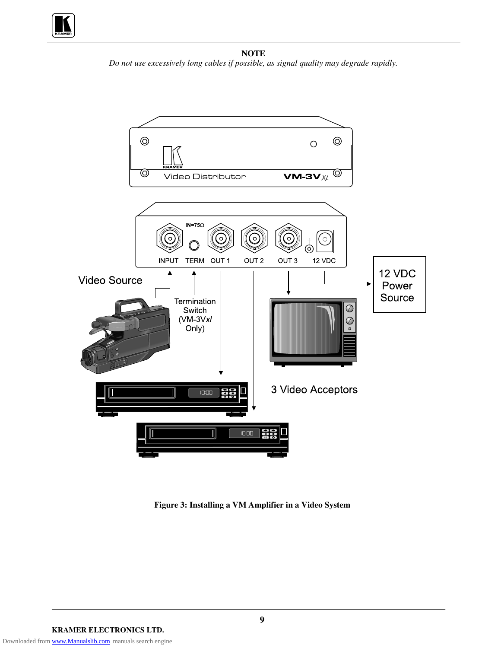

**NOTE** *Do not use excessively long cables if possible, as signal quality may degrade rapidly.*



**Figure 3: Installing a VM Amplifier in a Video System**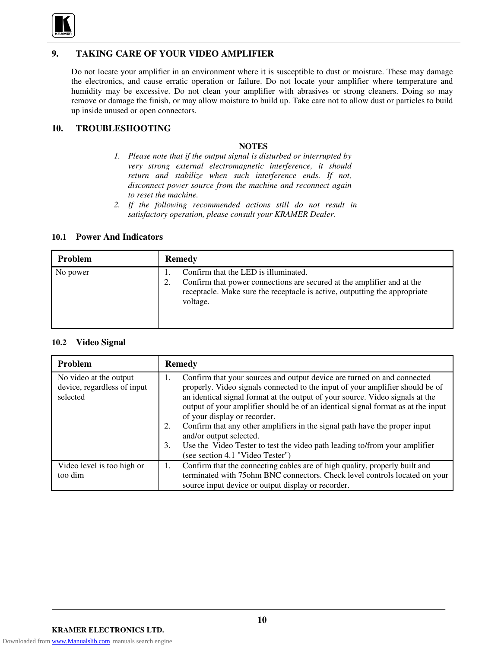

# **9. TAKING CARE OF YOUR VIDEO AMPLIFIER**

Do not locate your amplifier in an environment where it is susceptible to dust or moisture. These may damage the electronics, and cause erratic operation or failure. Do not locate your amplifier where temperature and humidity may be excessive. Do not clean your amplifier with abrasives or strong cleaners. Doing so may remove or damage the finish, or may allow moisture to build up. Take care not to allow dust or particles to build up inside unused or open connectors.

# **10. TROUBLESHOOTING**

#### **NOTES**

- *1. Please note that if the output signal is disturbed or interrupted by very strong external electromagnetic interference, it should return and stabilize when such interference ends. If not, disconnect power source from the machine and reconnect again to reset the machine.*
- *2. If the following recommended actions still do not result in satisfactory operation, please consult your KRAMER Dealer.*

#### **10.1 Power And Indicators**

| <b>Problem</b> | <b>Remedy</b>                                                                                                                                                                                                  |
|----------------|----------------------------------------------------------------------------------------------------------------------------------------------------------------------------------------------------------------|
| No power       | Confirm that the LED is illuminated.<br>Confirm that power connections are secured at the amplifier and at the<br>2.<br>receptacle. Make sure the receptacle is active, outputting the appropriate<br>voltage. |

#### **10.2 Video Signal**

| Problem                                                           | <b>Remedy</b>                                                                                                                                                                                                                                                                                                                                                                                                                                           |
|-------------------------------------------------------------------|---------------------------------------------------------------------------------------------------------------------------------------------------------------------------------------------------------------------------------------------------------------------------------------------------------------------------------------------------------------------------------------------------------------------------------------------------------|
| No video at the output<br>device, regardless of input<br>selected | Confirm that your sources and output device are turned on and connected<br>1.<br>properly. Video signals connected to the input of your amplifier should be of<br>an identical signal format at the output of your source. Video signals at the<br>output of your amplifier should be of an identical signal format as at the input<br>of your display or recorder.<br>Confirm that any other amplifiers in the signal path have the proper input<br>2. |
|                                                                   | and/or output selected.<br>Use the Video Tester to test the video path leading to/from your amplifier<br>3.<br>(see section 4.1 "Video Tester")                                                                                                                                                                                                                                                                                                         |
| Video level is too high or<br>too dim                             | Confirm that the connecting cables are of high quality, properly built and<br>1.<br>terminated with 75ohm BNC connectors. Check level controls located on your<br>source input device or output display or recorder.                                                                                                                                                                                                                                    |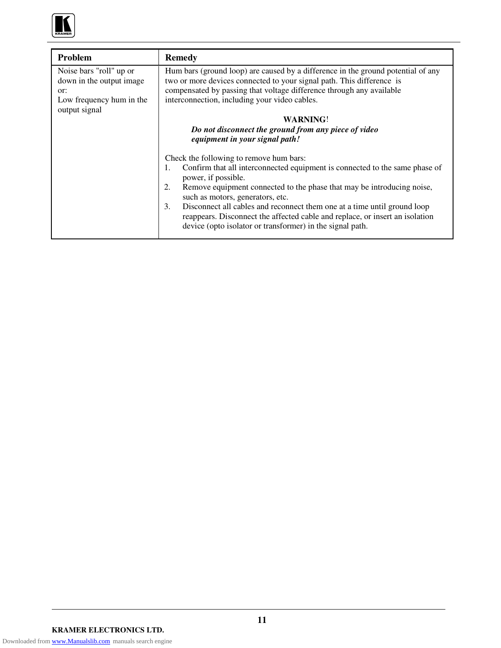

| Problem                                                                                                 | <b>Remedy</b>                                                                                                                                                                                                                                                                                                                                                 |  |
|---------------------------------------------------------------------------------------------------------|---------------------------------------------------------------------------------------------------------------------------------------------------------------------------------------------------------------------------------------------------------------------------------------------------------------------------------------------------------------|--|
| Noise bars "roll" up or<br>down in the output image<br>or:<br>Low frequency hum in the<br>output signal | Hum bars (ground loop) are caused by a difference in the ground potential of any<br>two or more devices connected to your signal path. This difference is<br>compensated by passing that voltage difference through any available<br>interconnection, including your video cables.<br><b>WARNING!</b><br>Do not disconnect the ground from any piece of video |  |
|                                                                                                         | equipment in your signal path!                                                                                                                                                                                                                                                                                                                                |  |
|                                                                                                         | Check the following to remove hum bars:<br>Confirm that all interconnected equipment is connected to the same phase of<br>1.<br>power, if possible.                                                                                                                                                                                                           |  |
|                                                                                                         | Remove equipment connected to the phase that may be introducing noise,<br>2.<br>such as motors, generators, etc.                                                                                                                                                                                                                                              |  |
|                                                                                                         | Disconnect all cables and reconnect them one at a time until ground loop<br>3.<br>reappears. Disconnect the affected cable and replace, or insert an isolation<br>device (opto isolator or transformer) in the signal path.                                                                                                                                   |  |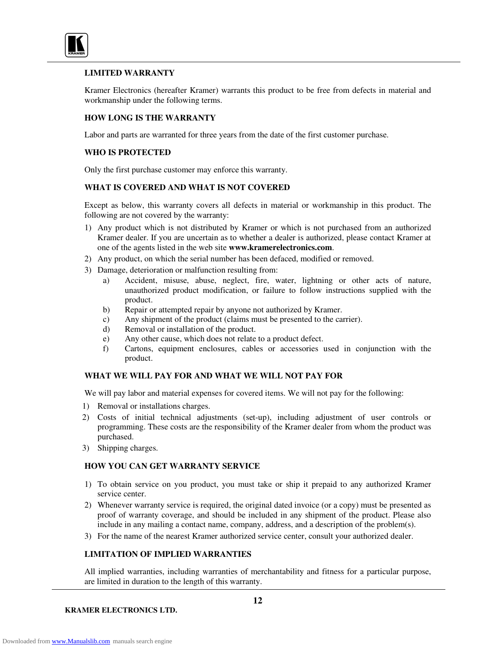

#### **LIMITED WARRANTY**

Kramer Electronics (hereafter Kramer) warrants this product to be free from defects in material and workmanship under the following terms.

#### **HOW LONG IS THE WARRANTY**

Labor and parts are warranted for three years from the date of the first customer purchase.

#### **WHO IS PROTECTED**

Only the first purchase customer may enforce this warranty.

#### **WHAT IS COVERED AND WHAT IS NOT COVERED**

Except as below, this warranty covers all defects in material or workmanship in this product. The following are not covered by the warranty:

- 1) Any product which is not distributed by Kramer or which is not purchased from an authorized Kramer dealer. If you are uncertain as to whether a dealer is authorized, please contact Kramer at one of the agents listed in the web site **www.kramerelectronics.com**.
- 2) Any product, on which the serial number has been defaced, modified or removed.
- 3) Damage, deterioration or malfunction resulting from:
	- a) Accident, misuse, abuse, neglect, fire, water, lightning or other acts of nature, unauthorized product modification, or failure to follow instructions supplied with the product.
	- b) Repair or attempted repair by anyone not authorized by Kramer.
	- c) Any shipment of the product (claims must be presented to the carrier).
	- d) Removal or installation of the product.
	- e) Any other cause, which does not relate to a product defect.
	- f) Cartons, equipment enclosures, cables or accessories used in conjunction with the product.

#### **WHAT WE WILL PAY FOR AND WHAT WE WILL NOT PAY FOR**

We will pay labor and material expenses for covered items. We will not pay for the following:

- 1) Removal or installations charges.
- 2) Costs of initial technical adjustments (set-up), including adjustment of user controls or programming. These costs are the responsibility of the Kramer dealer from whom the product was purchased.
- 3) Shipping charges.

#### **HOW YOU CAN GET WARRANTY SERVICE**

- 1) To obtain service on you product, you must take or ship it prepaid to any authorized Kramer service center.
- 2) Whenever warranty service is required, the original dated invoice (or a copy) must be presented as proof of warranty coverage, and should be included in any shipment of the product. Please also include in any mailing a contact name, company, address, and a description of the problem(s).
- 3) For the name of the nearest Kramer authorized service center, consult your authorized dealer.

#### **LIMITATION OF IMPLIED WARRANTIES**

All implied warranties, including warranties of merchantability and fitness for a particular purpose, are limited in duration to the length of this warranty.

**KRAMER ELECTRONICS LTD.**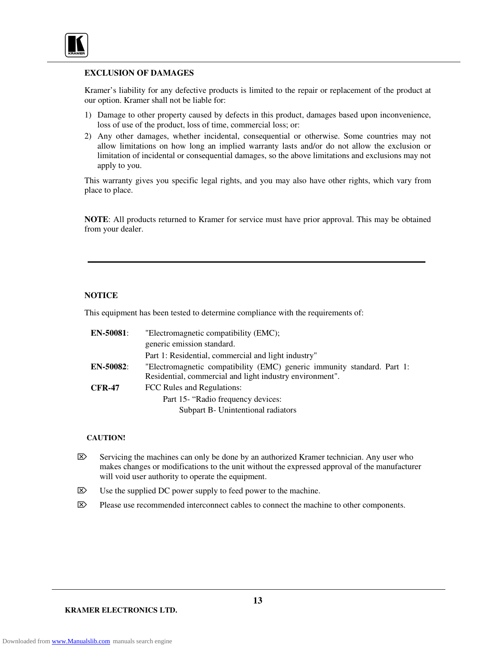

#### **EXCLUSION OF DAMAGES**

Kramer's liability for any defective products is limited to the repair or replacement of the product at our option. Kramer shall not be liable for:

- 1) Damage to other property caused by defects in this product, damages based upon inconvenience, loss of use of the product, loss of time, commercial loss; or:
- 2) Any other damages, whether incidental, consequential or otherwise. Some countries may not allow limitations on how long an implied warranty lasts and/or do not allow the exclusion or limitation of incidental or consequential damages, so the above limitations and exclusions may not apply to you.

This warranty gives you specific legal rights, and you may also have other rights, which vary from place to place.

**NOTE**: All products returned to Kramer for service must have prior approval. This may be obtained from your dealer.

#### **NOTICE**

This equipment has been tested to determine compliance with the requirements of:

| <b>EN-50081:</b> | "Electromagnetic compatibility (EMC);                                   |
|------------------|-------------------------------------------------------------------------|
|                  | generic emission standard.                                              |
|                  | Part 1: Residential, commercial and light industry"                     |
| <b>EN-50082:</b> | "Electromagnetic compatibility (EMC) generic immunity standard. Part 1: |
|                  | Residential, commercial and light industry environment".                |
| <b>CFR-47</b>    | FCC Rules and Regulations:                                              |
|                  | Part 15- "Radio frequency devices:                                      |
|                  | Subpart B- Unintentional radiators                                      |

#### **CAUTION!**

- $\otimes$  Servicing the machines can only be done by an authorized Kramer technician. Any user who makes changes or modifications to the unit without the expressed approval of the manufacturer will void user authority to operate the equipment.
- $\boxtimes$  Use the supplied DC power supply to feed power to the machine.
- $\mathbb{R}$  Please use recommended interconnect cables to connect the machine to other components.

**KRAMER ELECTRONICS LTD.**